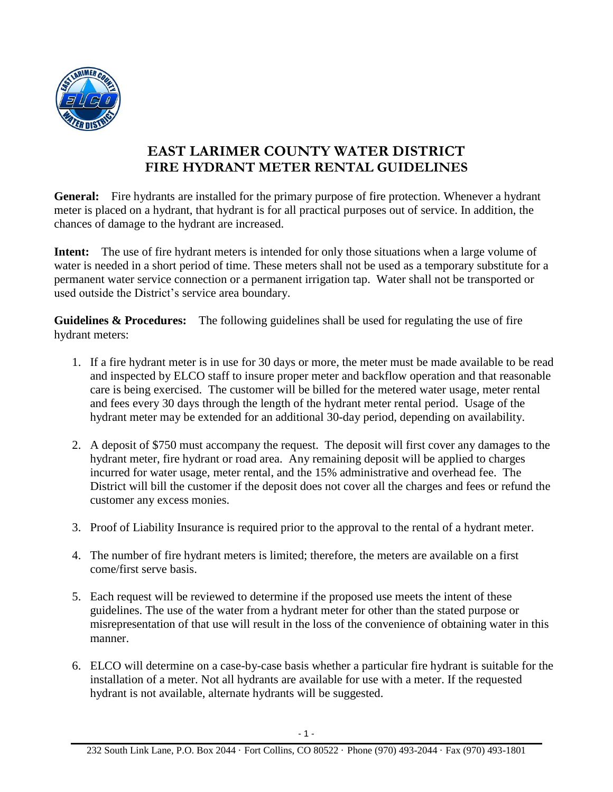

## **EAST LARIMER COUNTY WATER DISTRICT FIRE HYDRANT METER RENTAL GUIDELINES**

**General:** Fire hydrants are installed for the primary purpose of fire protection. Whenever a hydrant meter is placed on a hydrant, that hydrant is for all practical purposes out of service. In addition, the chances of damage to the hydrant are increased.

**Intent:** The use of fire hydrant meters is intended for only those situations when a large volume of water is needed in a short period of time. These meters shall not be used as a temporary substitute for a permanent water service connection or a permanent irrigation tap. Water shall not be transported or used outside the District's service area boundary.

**Guidelines & Procedures:** The following guidelines shall be used for regulating the use of fire hydrant meters:

- 1. If a fire hydrant meter is in use for 30 days or more, the meter must be made available to be read and inspected by ELCO staff to insure proper meter and backflow operation and that reasonable care is being exercised. The customer will be billed for the metered water usage, meter rental and fees every 30 days through the length of the hydrant meter rental period. Usage of the hydrant meter may be extended for an additional 30-day period, depending on availability.
- 2. A deposit of \$750 must accompany the request. The deposit will first cover any damages to the hydrant meter, fire hydrant or road area. Any remaining deposit will be applied to charges incurred for water usage, meter rental, and the 15% administrative and overhead fee. The District will bill the customer if the deposit does not cover all the charges and fees or refund the customer any excess monies.
- 3. Proof of Liability Insurance is required prior to the approval to the rental of a hydrant meter.
- 4. The number of fire hydrant meters is limited; therefore, the meters are available on a first come/first serve basis.
- 5. Each request will be reviewed to determine if the proposed use meets the intent of these guidelines. The use of the water from a hydrant meter for other than the stated purpose or misrepresentation of that use will result in the loss of the convenience of obtaining water in this manner.
- 6. ELCO will determine on a case-by-case basis whether a particular fire hydrant is suitable for the installation of a meter. Not all hydrants are available for use with a meter. If the requested hydrant is not available, alternate hydrants will be suggested.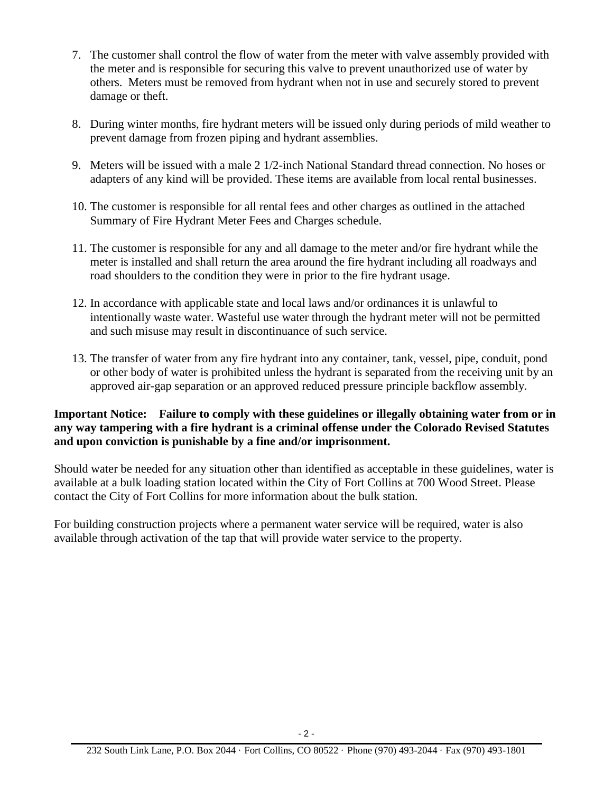- 7. The customer shall control the flow of water from the meter with valve assembly provided with the meter and is responsible for securing this valve to prevent unauthorized use of water by others. Meters must be removed from hydrant when not in use and securely stored to prevent damage or theft.
- 8. During winter months, fire hydrant meters will be issued only during periods of mild weather to prevent damage from frozen piping and hydrant assemblies.
- 9. Meters will be issued with a male 2 1/2-inch National Standard thread connection. No hoses or adapters of any kind will be provided. These items are available from local rental businesses.
- 10. The customer is responsible for all rental fees and other charges as outlined in the attached Summary of Fire Hydrant Meter Fees and Charges schedule.
- 11. The customer is responsible for any and all damage to the meter and/or fire hydrant while the meter is installed and shall return the area around the fire hydrant including all roadways and road shoulders to the condition they were in prior to the fire hydrant usage.
- 12. In accordance with applicable state and local laws and/or ordinances it is unlawful to intentionally waste water. Wasteful use water through the hydrant meter will not be permitted and such misuse may result in discontinuance of such service.
- 13. The transfer of water from any fire hydrant into any container, tank, vessel, pipe, conduit, pond or other body of water is prohibited unless the hydrant is separated from the receiving unit by an approved air-gap separation or an approved reduced pressure principle backflow assembly.

## **Important Notice: Failure to comply with these guidelines or illegally obtaining water from or in any way tampering with a fire hydrant is a criminal offense under the Colorado Revised Statutes and upon conviction is punishable by a fine and/or imprisonment.**

Should water be needed for any situation other than identified as acceptable in these guidelines, water is available at a bulk loading station located within the City of Fort Collins at 700 Wood Street. Please contact the City of Fort Collins for more information about the bulk station.

For building construction projects where a permanent water service will be required, water is also available through activation of the tap that will provide water service to the property.